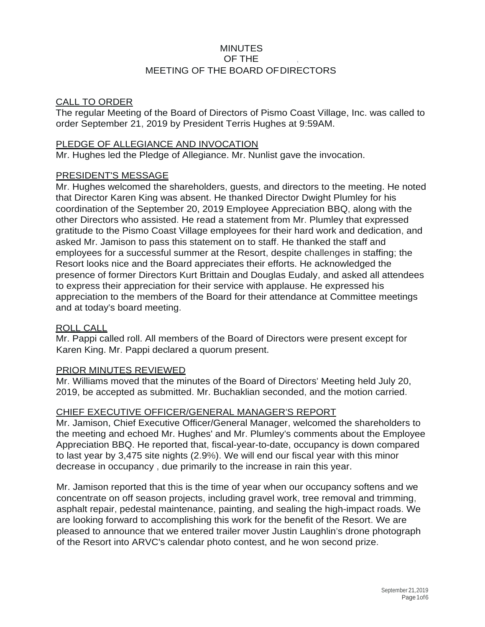## **MINUTES** OF THE , MEETING OF THE BOARD OFDIRECTORS

#### CALL TO ORDER

The regular Meeting of the Board of Directors of Pismo Coast Village, Inc. was called to order September 21, 2019 by President Terris Hughes at 9:59AM.

#### PLEDGE OF ALLEGIANCE AND INVOCATION

Mr. Hughes led the Pledge of Allegiance. Mr. Nunlist gave the invocation.

### PRESIDENT'S MESSAGE

Mr. Hughes welcomed the shareholders, guests, and directors to the meeting. He noted that Director Karen King was absent. He thanked Director Dwight Plumley for his coordination of the September 20, 2019 Employee Appreciation BBQ, along with the other Directors who assisted. He read a statement from Mr. Plumley that expressed gratitude to the Pismo Coast Village employees for their hard work and dedication, and asked Mr. Jamison to pass this statement on to staff. He thanked the staff and employees for a successful summer at the Resort, despite challenges in staffing; the Resort looks nice and the Board appreciates their efforts. He acknowledged the presence of former Directors Kurt Brittain and Douglas Eudaly, and asked all attendees to express their appreciation for their service with applause. He expressed his appreciation to the members of the Board for their attendance at Committee meetings and at today's board meeting.

### ROLL CALL

Mr. Pappi called roll. All members of the Board of Directors were present except for Karen King. Mr. Pappi declared a quorum present.

### PRIOR MINUTES REVIEWED

Mr. Williams moved that the minutes of the Board of Directors' Meeting held July 20, 2019, be accepted as submitted. Mr. Buchaklian seconded, and the motion carried.

### CHIEF EXECUTIVE OFFICER/GENERAL MANAGER'S REPORT

Mr. Jamison, Chief Executive Officer/General Manager, welcomed the shareholders to the meeting and echoed Mr. Hughes' and Mr. Plumley's comments about the Employee Appreciation BBQ. He reported that, fiscal-year-to-date, occupancy is down compared to last year by 3,475 site nights (2.9%). We will end our fiscal year with this minor decrease in occupancy , due primarily to the increase in rain this year.

Mr. Jamison reported that this is the time of year when our occupancy softens and we concentrate on off season projects, including gravel work, tree removal and trimming, asphalt repair, pedestal maintenance, painting, and sealing the high-impact roads. We are looking forward to accomplishing this work for the benefit of the Resort. We are pleased to announce that we entered trailer mover Justin Laughlin's drone photograph of the Resort into ARVC's calendar photo contest, and he won second prize.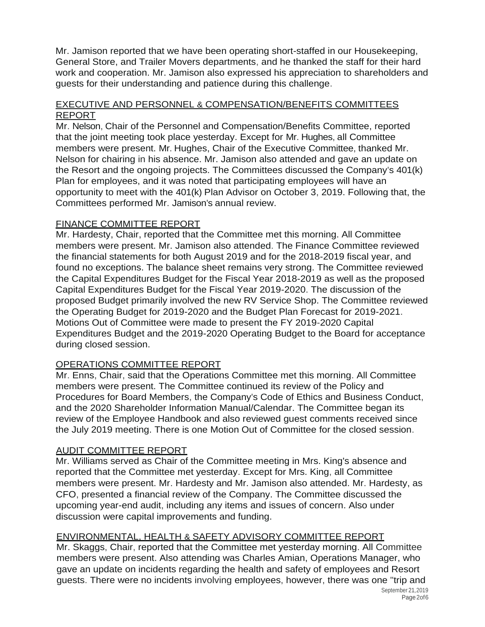Mr. Jamison reported that we have been operating short-staffed in our Housekeeping, General Store, and Trailer Movers departments, and he thanked the staff for their hard work and cooperation. Mr. Jamison also expressed his appreciation to shareholders and guests for their understanding and patience during this challenge.

## EXECUTIVE AND PERSONNEL & COMPENSATION/BENEFITS COMMITTEES REPORT

Mr. Nelson, Chair of the Personnel and Compensation/Benefits Committee, reported that the joint meeting took place yesterday. Except for Mr. Hughes, all Committee members were present. Mr. Hughes, Chair of the Executive Committee, thanked Mr. Nelson for chairing in his absence. Mr. Jamison also attended and gave an update on the Resort and the ongoing projects. The Committees discussed the Company's 401(k) Plan for employees, and it was noted that participating employees will have an opportunity to meet with the 401(k) Plan Advisor on October 3, 2019. Following that, the Committees performed Mr. Jamison's annual review.

# FINANCE COMMITTEE REPORT

Mr. Hardesty, Chair, reported that the Committee met this morning. All Committee members were present. Mr. Jamison also attended. The Finance Committee reviewed the financial statements for both August 2019 and for the 2018-2019 fiscal year, and found no exceptions. The balance sheet remains very strong. The Committee reviewed the Capital Expenditures Budget for the Fiscal Year 2018-2019 as well as the proposed Capital Expenditures Budget for the Fiscal Year 2019-2020. The discussion of the proposed Budget primarily involved the new RV Service Shop. The Committee reviewed the Operating Budget for 2019-2020 and the Budget Plan Forecast for 2019-2021. Motions Out of Committee were made to present the FY 2019-2020 Capital Expenditures Budget and the 2019-2020 Operating Budget to the Board for acceptance during closed session.

### OPERATIONS COMMITTEE REPORT

Mr. Enns, Chair, said that the Operations Committee met this morning. All Committee members were present. The Committee continued its review of the Policy and Procedures for Board Members, the Company's Code of Ethics and Business Conduct, and the 2020 Shareholder Information Manual/Calendar. The Committee began its review of the Employee Handbook and also reviewed guest comments received since the July 2019 meeting. There is one Motion Out of Committee for the closed session.

# AUDIT COMMITTEE REPORT

Mr. Williams served as Chair of the Committee meeting in Mrs. King's absence and reported that the Committee met yesterday. Except for Mrs. King, all Committee members were present. Mr. Hardesty and Mr. Jamison also attended. Mr. Hardesty, as CFO, presented a financial review of the Company. The Committee discussed the upcoming year-end audit, including any items and issues of concern. Also under discussion were capital improvements and funding.

### ENVIRONMENTAL, HEALTH & SAFETY ADVISORY COMMITTEE REPORT

Mr. Skaggs, Chair, reported that the Committee met yesterday morning. All Committee members were present. Also attending was Charles Amian, Operations Manager, who gave an update on incidents regarding the health and safety of employees and Resort guests. There were no incidents involving employees, however, there was one "trip and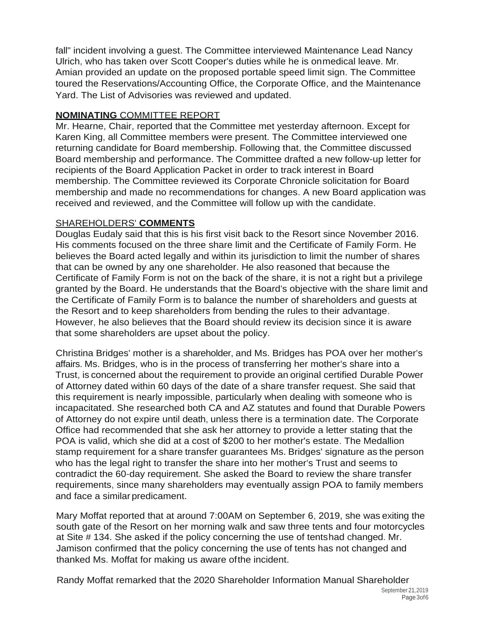fall" incident involving a guest. The Committee interviewed Maintenance Lead Nancy Ulrich, who has taken over Scott Cooper's duties while he is onmedical leave. Mr. Amian provided an update on the proposed portable speed limit sign. The Committee toured the Reservations/Accounting Office, the Corporate Office, and the Maintenance Yard. The List of Advisories was reviewed and updated.

## **NOMINATING** COMMITTEE REPORT

Mr. Hearne, Chair, reported that the Committee met yesterday afternoon. Except for Karen King, all Committee members were present. The Committee interviewed one returning candidate for Board membership. Following that, the Committee discussed Board membership and performance. The Committee drafted a new follow-up letter for recipients of the Board Application Packet in order to track interest in Board membership. The Committee reviewed its Corporate Chronicle solicitation for Board membership and made no recommendations for changes. A new Board application was received and reviewed, and the Committee will follow up with the candidate.

### SHAREHOLDERS' **COMMENTS**

Douglas Eudaly said that this is his first visit back to the Resort since November 2016. His comments focused on the three share limit and the Certificate of Family Form. He believes the Board acted legally and within its jurisdiction to limit the number of shares that can be owned by any one shareholder. He also reasoned that because the Certificate of Family Form is not on the back of the share, it is not a right but a privilege granted by the Board. He understands that the Board's objective with the share limit and the Certificate of Family Form is to balance the number of shareholders and guests at the Resort and to keep shareholders from bending the rules to their advantage. However, he also believes that the Board should review its decision since it is aware that some shareholders are upset about the policy.

Christina Bridges' mother is a shareholder, and Ms. Bridges has POA over her mother's affairs. Ms. Bridges, who is in the process of transferring her mother's share into a Trust, is concerned about the requirement to provide an original certified Durable Power of Attorney dated within 60 days of the date of a share transfer request. She said that this requirement is nearly impossible, particularly when dealing with someone who is incapacitated. She researched both CA and AZ statutes and found that Durable Powers of Attorney do not expire until death, unless there is a termination date. The Corporate Office had recommended that she ask her attorney to provide a letter stating that the POA is valid, which she did at a cost of \$200 to her mother's estate. The Medallion stamp requirement for a share transfer guarantees Ms. Bridges' signature as the person who has the legal right to transfer the share into her mother's Trust and seems to contradict the 60-day requirement. She asked the Board to review the share transfer requirements, since many shareholders may eventually assign POA to family members and face a similar predicament.

Mary Moffat reported that at around 7:00AM on September 6, 2019, she was exiting the south gate of the Resort on her morning walk and saw three tents and four motorcycles at Site # 134. She asked if the policy concerning the use of tentshad changed. Mr. Jamison confirmed that the policy concerning the use of tents has not changed and thanked Ms. Moffat for making us aware ofthe incident.

Randy Moffat remarked that the 2020 Shareholder Information Manual Shareholder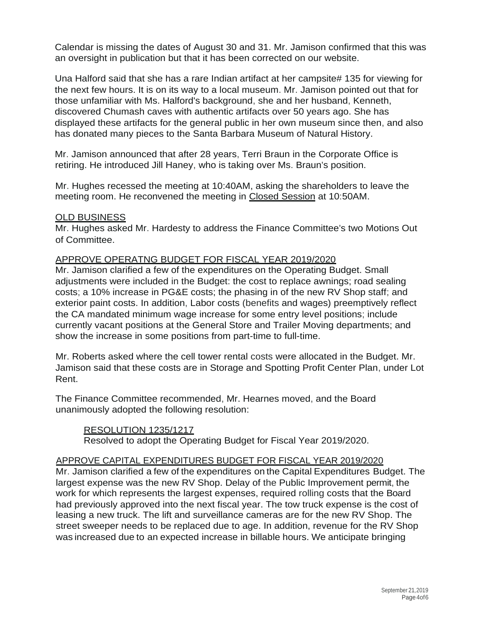Calendar is missing the dates of August 30 and 31. Mr. Jamison confirmed that this was an oversight in publication but that it has been corrected on our website.

Una Halford said that she has a rare Indian artifact at her campsite# 135 for viewing for the next few hours. It is on its way to a local museum. Mr. Jamison pointed out that for those unfamiliar with Ms. Halford's background, she and her husband, Kenneth, discovered Chumash caves with authentic artifacts over 50 years ago. She has displayed these artifacts for the general public in her own museum since then, and also has donated many pieces to the Santa Barbara Museum of Natural History.

Mr. Jamison announced that after 28 years, Terri Braun in the Corporate Office is retiring. He introduced Jill Haney, who is taking over Ms. Braun's position.

Mr. Hughes recessed the meeting at 10:40AM, asking the shareholders to leave the meeting room. He reconvened the meeting in Closed Session at 10:50AM.

### OLD BUSINESS

Mr. Hughes asked Mr. Hardesty to address the Finance Committee's two Motions Out of Committee.

### APPROVE OPERATNG BUDGET FOR FISCAL YEAR 2019/2020

Mr. Jamison clarified a few of the expenditures on the Operating Budget. Small adjustments were included in the Budget: the cost to replace awnings; road sealing costs; a 10% increase in PG&E costs; the phasing in of the new RV Shop staff; and exterior paint costs. In addition, Labor costs (benefits and wages) preemptively reflect the CA mandated minimum wage increase for some entry level positions; include currently vacant positions at the General Store and Trailer Moving departments; and show the increase in some positions from part-time to full-time.

Mr. Roberts asked where the cell tower rental costs were allocated in the Budget. Mr. Jamison said that these costs are in Storage and Spotting Profit Center Plan, under Lot Rent.

The Finance Committee recommended, Mr. Hearnes moved, and the Board unanimously adopted the following resolution:

### RESOLUTION 1235/1217

Resolved to adopt the Operating Budget for Fiscal Year 2019/2020.

### APPROVE CAPITAL EXPENDITURES BUDGET FOR FISCAL YEAR 2019/2020

Mr. Jamison clarified a few of the expenditures on the Capital Expenditures Budget. The largest expense was the new RV Shop. Delay of the Public Improvement permit, the work for which represents the largest expenses, required rolling costs that the Board had previously approved into the next fiscal year. The tow truck expense is the cost of leasing a new truck. The lift and surveillance cameras are for the new RV Shop. The street sweeper needs to be replaced due to age. In addition, revenue for the RV Shop was increased due to an expected increase in billable hours. We anticipate bringing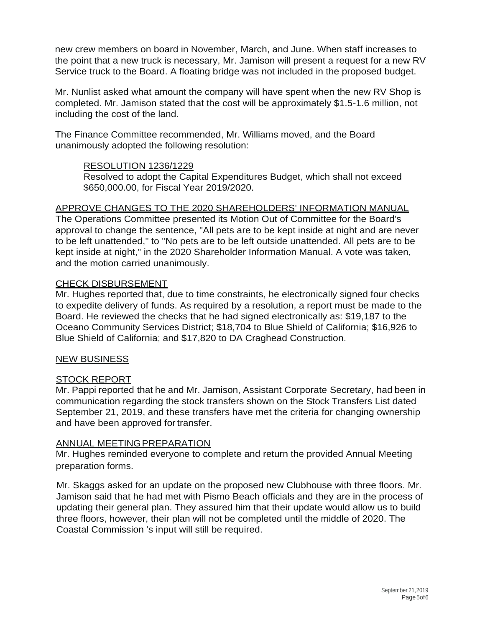new crew members on board in November, March, and June. When staff increases to the point that a new truck is necessary, Mr. Jamison will present a request for a new RV Service truck to the Board. A floating bridge was not included in the proposed budget.

Mr. Nunlist asked what amount the company will have spent when the new RV Shop is completed. Mr. Jamison stated that the cost will be approximately \$1.5-1.6 million, not including the cost of the land.

The Finance Committee recommended, Mr. Williams moved, and the Board unanimously adopted the following resolution:

### RESOLUTION 1236/1229

Resolved to adopt the Capital Expenditures Budget, which shall not exceed \$650,000.00, for Fiscal Year 2019/2020.

### APPROVE CHANGES TO THE 2020 SHAREHOLDERS' INFORMATION MANUAL

The Operations Committee presented its Motion Out of Committee for the Board's approval to change the sentence, "All pets are to be kept inside at night and are never to be left unattended," to "No pets are to be left outside unattended. All pets are to be kept inside at night," in the 2020 Shareholder Information Manual. A vote was taken, and the motion carried unanimously.

### CHECK DISBURSEMENT

Mr. Hughes reported that, due to time constraints, he electronically signed four checks to expedite delivery of funds. As required by a resolution, a report must be made to the Board. He reviewed the checks that he had signed electronically as: \$19,187 to the Oceano Community Services District; \$18,704 to Blue Shield of California; \$16,926 to Blue Shield of California; and \$17,820 to DA Craghead Construction.

### NEW BUSINESS

# STOCK REPORT

Mr. Pappi reported that he and Mr. Jamison, Assistant Corporate Secretary, had been in communication regarding the stock transfers shown on the Stock Transfers List dated September 21, 2019, and these transfers have met the criteria for changing ownership and have been approved for transfer.

### ANNUAL MEETINGPREPARATION

Mr. Hughes reminded everyone to complete and return the provided Annual Meeting preparation forms.

Mr. Skaggs asked for an update on the proposed new Clubhouse with three floors. Mr. Jamison said that he had met with Pismo Beach officials and they are in the process of updating their general plan. They assured him that their update would allow us to build three floors, however, their plan will not be completed until the middle of 2020. The Coastal Commission 's input will still be required.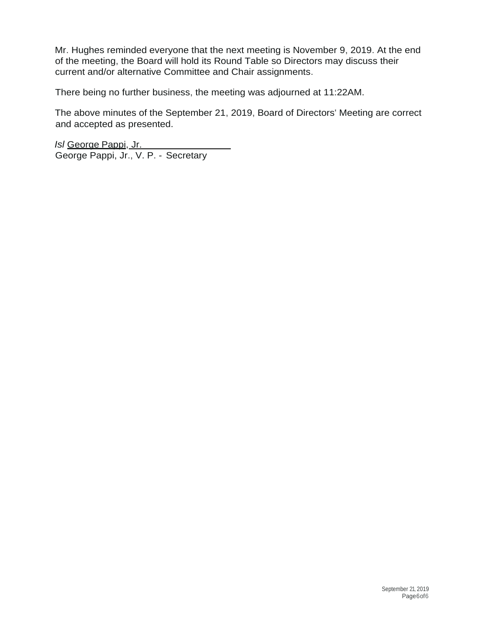Mr. Hughes reminded everyone that the next meeting is November 9, 2019. At the end of the meeting, the Board will hold its Round Table so Directors may discuss their current and/or alternative Committee and Chair assignments.

There being no further business, the meeting was adjourned at 11:22AM.

The above minutes of the September 21, 2019, Board of Directors' Meeting are correct and accepted as presented.

*Isl* George Pappi, Jr. George Pappi, Jr., V. P. - Secretary